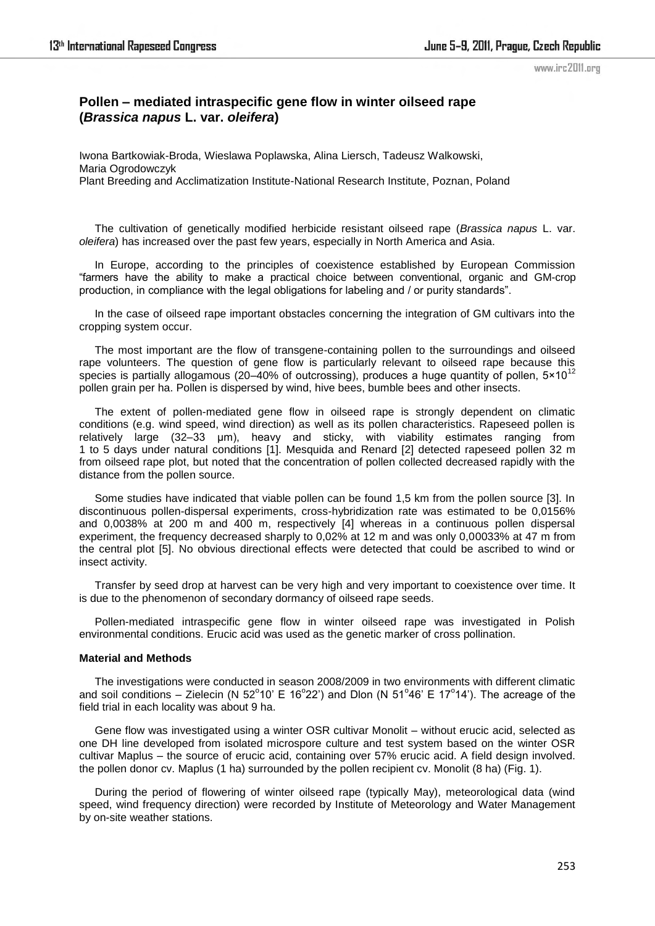# **Pollen – mediated intraspecific gene flow in winter oilseed rape (***Brassica napus* **L. var.** *oleifera***)**

Iwona Bartkowiak-Broda, Wieslawa Poplawska, Alina Liersch, Tadeusz Walkowski, Maria Ogrodowczyk Plant Breeding and Acclimatization Institute-National Research Institute, Poznan, Poland

The cultivation of genetically modified herbicide resistant oilseed rape (*Brassica napus* L. var. *oleifera*) has increased over the past few years, especially in North America and Asia.

In Europe, according to the principles of coexistence established by European Commission ―farmers have the ability to make a practical choice between conventional, organic and GM-crop production, in compliance with the legal obligations for labeling and / or purity standards".

In the case of oilseed rape important obstacles concerning the integration of GM cultivars into the cropping system occur.

The most important are the flow of transgene-containing pollen to the surroundings and oilseed rape volunteers. The question of gene flow is particularly relevant to oilseed rape because this species is partially allogamous (20–40% of outcrossing), produces a huge quantity of pollen,  $5 \times 10^{12}$ pollen grain per ha. Pollen is dispersed by wind, hive bees, bumble bees and other insects.

The extent of pollen-mediated gene flow in oilseed rape is strongly dependent on climatic conditions (e.g. wind speed, wind direction) as well as its pollen characteristics. Rapeseed pollen is relatively large (32–33 μm), heavy and sticky, with viability estimates ranging from 1 to 5 days under natural conditions [1]. Mesquida and Renard [2] detected rapeseed pollen 32 m from oilseed rape plot, but noted that the concentration of pollen collected decreased rapidly with the distance from the pollen source.

Some studies have indicated that viable pollen can be found 1,5 km from the pollen source [3]. In discontinuous pollen-dispersal experiments, cross-hybridization rate was estimated to be 0,0156% and 0,0038% at 200 m and 400 m, respectively [4] whereas in a continuous pollen dispersal experiment, the frequency decreased sharply to 0,02% at 12 m and was only 0,00033% at 47 m from the central plot [5]. No obvious directional effects were detected that could be ascribed to wind or insect activity.

Transfer by seed drop at harvest can be very high and very important to coexistence over time. It is due to the phenomenon of secondary dormancy of oilseed rape seeds.

Pollen-mediated intraspecific gene flow in winter oilseed rape was investigated in Polish environmental conditions. Erucic acid was used as the genetic marker of cross pollination.

#### **Material and Methods**

The investigations were conducted in season 2008/2009 in two environments with different climatic and soil conditions – Zielecin (N 52°10' E 16°22') and Dlon (N 51°46' E 17°14'). The acreage of the field trial in each locality was about 9 ha.

Gene flow was investigated using a winter OSR cultivar Monolit – without erucic acid, selected as one DH line developed from isolated microspore culture and test system based on the winter OSR cultivar Maplus – the source of erucic acid, containing over 57% erucic acid. A field design involved. the pollen donor cv. Maplus (1 ha) surrounded by the pollen recipient cv. Monolit (8 ha) (Fig. 1).

During the period of flowering of winter oilseed rape (typically May), meteorological data (wind speed, wind frequency direction) were recorded by Institute of Meteorology and Water Management by on-site weather stations.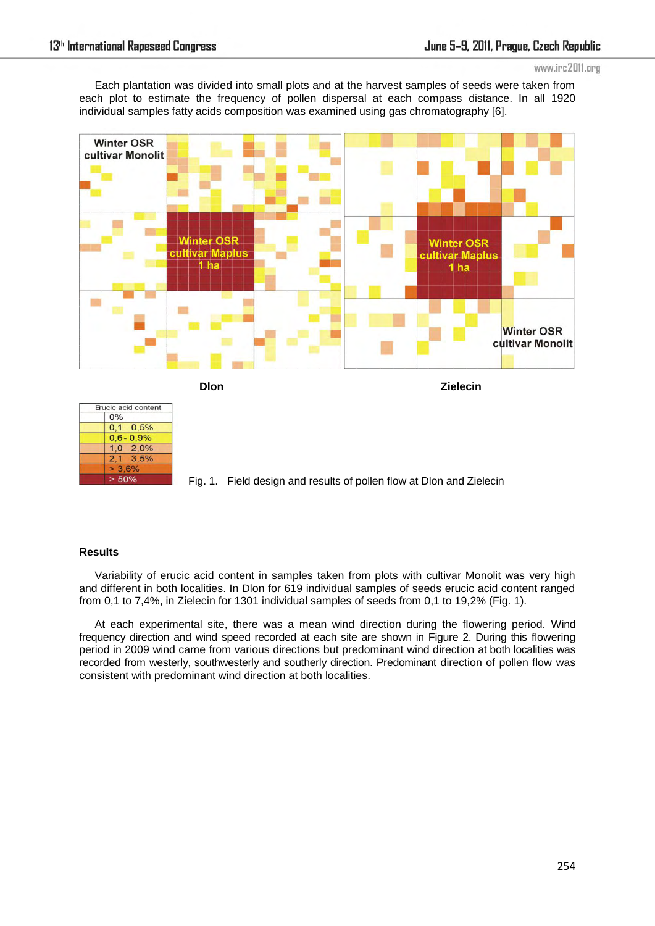Each plantation was divided into small plots and at the harvest samples of seeds were taken from each plot to estimate the frequency of pollen dispersal at each compass distance. In all 1920 individual samples fatty acids composition was examined using gas chromatography [6].





Fig. 1. Field design and results of pollen flow at Dlon and Zielecin

### **Results**

Variability of erucic acid content in samples taken from plots with cultivar Monolit was very high and different in both localities. In Dlon for 619 individual samples of seeds erucic acid content ranged from 0,1 to 7,4%, in Zielecin for 1301 individual samples of seeds from 0,1 to 19,2% (Fig. 1).

At each experimental site, there was a mean wind direction during the flowering period. Wind frequency direction and wind speed recorded at each site are shown in Figure 2. During this flowering period in 2009 wind came from various directions but predominant wind direction at both localities was recorded from westerly, southwesterly and southerly direction. Predominant direction of pollen flow was consistent with predominant wind direction at both localities.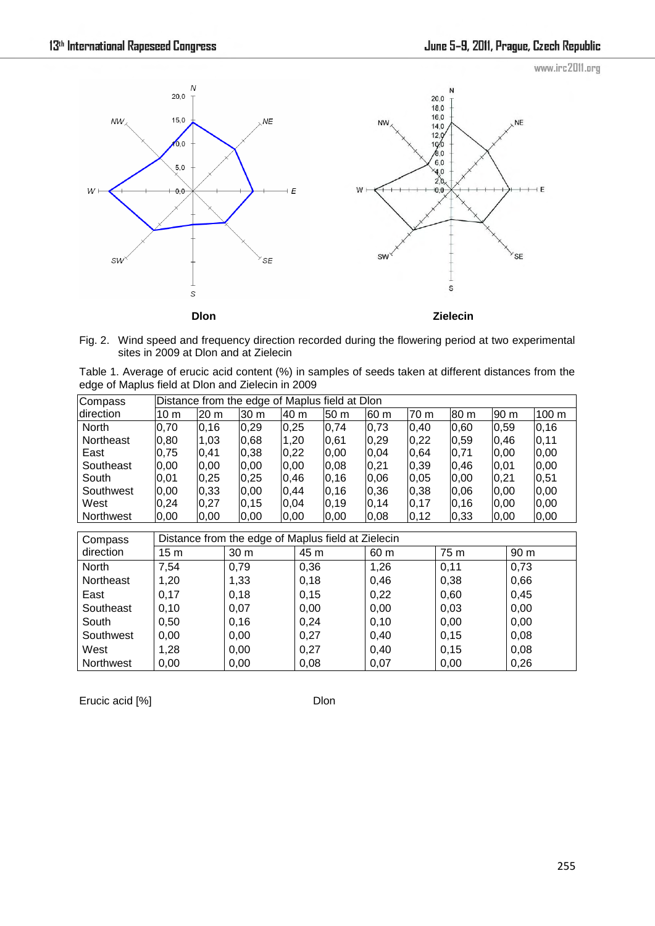

Fig. 2. Wind speed and frequency direction recorded during the flowering period at two experimental sites in 2009 at Dlon and at Zielecin

| Table 1. Average of erucic acid content (%) in samples of seeds taken at different distances from the |  |  |  |  |  |  |  |
|-------------------------------------------------------------------------------------------------------|--|--|--|--|--|--|--|
| edge of Maplus field at Dlon and Zielecin in 2009                                                     |  |  |  |  |  |  |  |

| Compass   | Distance from the edge of Maplus field at Dlon |      |      |      |                 |      |      |       |      |       |  |
|-----------|------------------------------------------------|------|------|------|-----------------|------|------|-------|------|-------|--|
| direction | 10 <sub>m</sub>                                | 20 m | 30 m | 40 m | 50 <sub>m</sub> | 60 m | 70 m | 80 m  | 90 m | 100 m |  |
| North     | 0,70                                           | 0,16 | 0,29 | 0,25 | 0,74            | 0,73 | 0,40 | 0,60  | 0,59 | 0,16  |  |
| Northeast | 0,80                                           | 1,03 | 0,68 | 1,20 | 0,61            | 0,29 | 0,22 | 0,59  | 0,46 | 0,11  |  |
| East      | 0,75                                           | 0,41 | 0,38 | 0,22 | 0,00            | 0,04 | 0,64 | 0,71  | 0,00 | 0,00  |  |
| Southeast | 0,00                                           | 0,00 | 0,00 | 0,00 | 0,08            | 0,21 | 0,39 | 0,46  | 0,01 | 0,00  |  |
| South     | 0,01                                           | 0,25 | 0,25 | 0,46 | 0, 16           | 0,06 | 0,05 | 0,00  | 0,21 | 0,51  |  |
| Southwest | 0,00                                           | 0,33 | 0,00 | 0,44 | 0, 16           | 0,36 | 0,38 | 0,06  | 0,00 | 0,00  |  |
| West      | 0,24                                           | 0,27 | 0,15 | 0,04 | 0, 19           | 0,14 | 0,17 | 0, 16 | 0,00 | 0,00  |  |
| Northwest | 0,00                                           | 0,00 | 0,00 | 0,00 | 0,00            | 0,08 | 0,12 | 0,33  | 0,00 | 0,00  |  |

| Compass          | Distance from the edge of Maplus field at Zielecin |                 |      |      |      |      |  |  |  |  |
|------------------|----------------------------------------------------|-----------------|------|------|------|------|--|--|--|--|
| direction        | 15 <sub>m</sub>                                    | 30 <sub>m</sub> | 45 m | 60 m | 75 m | 90 m |  |  |  |  |
| North            | 7,54                                               | 0,79            | 0,36 | 1,26 | 0,11 | 0,73 |  |  |  |  |
| Northeast        | 1,20                                               | 1,33            | 0,18 | 0,46 | 0,38 | 0,66 |  |  |  |  |
| East             | 0,17                                               | 0,18            | 0,15 | 0,22 | 0,60 | 0,45 |  |  |  |  |
| Southeast        | 0,10                                               | 0,07            | 0,00 | 0,00 | 0,03 | 0,00 |  |  |  |  |
| South            | 0,50                                               | 0,16            | 0,24 | 0,10 | 0,00 | 0,00 |  |  |  |  |
| Southwest        | 0,00                                               | 0,00            | 0,27 | 0,40 | 0,15 | 0,08 |  |  |  |  |
| West             | 1,28                                               | 0,00            | 0,27 | 0,40 | 0,15 | 0,08 |  |  |  |  |
| <b>Northwest</b> | 0,00                                               | 0,00            | 0,08 | 0,07 | 0,00 | 0,26 |  |  |  |  |

Erucic acid [%] Dlon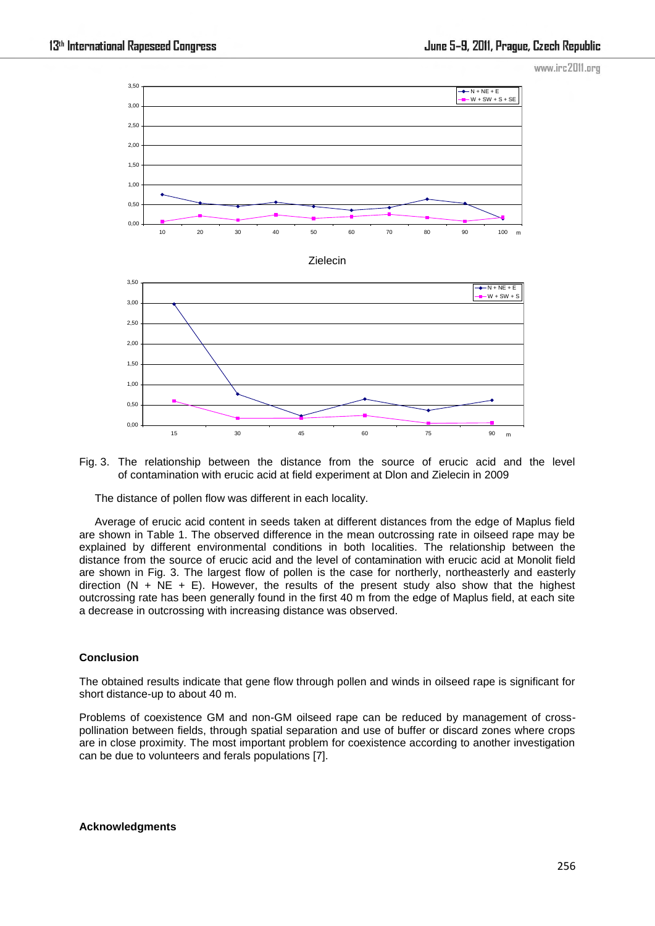

Fig. 3. The relationship between the distance from the source of erucic acid and the level of contamination with erucic acid at field experiment at Dlon and Zielecin in 2009

The distance of pollen flow was different in each locality.

Average of erucic acid content in seeds taken at different distances from the edge of Maplus field are shown in Table 1. The observed difference in the mean outcrossing rate in oilseed rape may be explained by different environmental conditions in both localities. The relationship between the distance from the source of erucic acid and the level of contamination with erucic acid at Monolit field are shown in Fig. 3. The largest flow of pollen is the case for northerly, northeasterly and easterly direction (N + NE + E). However, the results of the present study also show that the highest outcrossing rate has been generally found in the first 40 m from the edge of Maplus field, at each site a decrease in outcrossing with increasing distance was observed.

#### **Conclusion**

The obtained results indicate that gene flow through pollen and winds in oilseed rape is significant for short distance-up to about 40 m.

Problems of coexistence GM and non-GM oilseed rape can be reduced by management of crosspollination between fields, through spatial separation and use of buffer or discard zones where crops are in close proximity. The most important problem for coexistence according to another investigation can be due to volunteers and ferals populations [7].

#### **Acknowledgments**